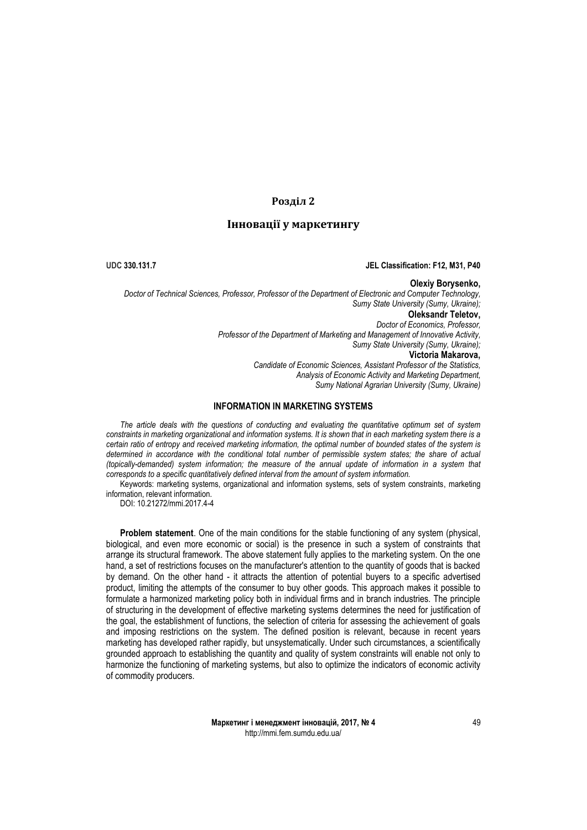## **Розділ 2**

# **Інновації у маркетингу**

### **UDC 330.131.7 JEL Classification: F12, M31, P40**

### **Olexiy Borysenko,**

*Doctor of Technical Sciences, Professor, Professor of the Department of Electronic and Computer Technology, Sumy State University (Sumy, Ukraine);* **Oleksandr Teletov,** *Doctor of Economics, Professor, Professor of the Department of Marketing and Management of Innovative Activity, Sumy State University (Sumy, Ukraine);* **Victoria Makarova,** *Candidate of Economic Sciences, Assistant Professor of the Statistics, Analysis of Economic Activity and Marketing Department, Sumy National Agrarian University (Sumy, Ukraine)*

### **INFORMATION IN MARKETING SYSTEMS**

*The article deals with the questions of conducting and evaluating the quantitative optimum set of system constraints in marketing organizational and information systems. It is shown that in each marketing system there is a certain ratio of entropy and received marketing information, the optimal number of bounded states of the system is determined in accordance with the conditional total number of permissible system states; the share of actual (topically-demanded) system information; the measure of the annual update of information in a system that corresponds to a specific quantitatively defined interval from the amount of system information.*

Keywords: marketing systems, organizational and information systems, sets of system constraints, marketing information, relevant information.

DOI: 10.21272/mmi.2017.4-4

**Problem statement**. One of the main conditions for the stable functioning of any system (physical, biological, and even more economic or social) is the presence in such a system of constraints that arrange its structural framework. The above statement fully applies to the marketing system. On the one hand, a set of restrictions focuses on the manufacturer's attention to the quantity of goods that is backed by demand. On the other hand - it attracts the attention of potential buyers to a specific advertised product, limiting the attempts of the consumer to buy other goods. This approach makes it possible to formulate a harmonized marketing policy both in individual firms and in branch industries. The principle of structuring in the development of effective marketing systems determines the need for justification of the goal, the establishment of functions, the selection of criteria for assessing the achievement of goals and imposing restrictions on the system. The defined position is relevant, because in recent years marketing has developed rather rapidly, but unsystematically. Under such circumstances, a scientifically grounded approach to establishing the quantity and quality of system constraints will enable not only to harmonize the functioning of marketing systems, but also to optimize the indicators of economic activity of commodity producers.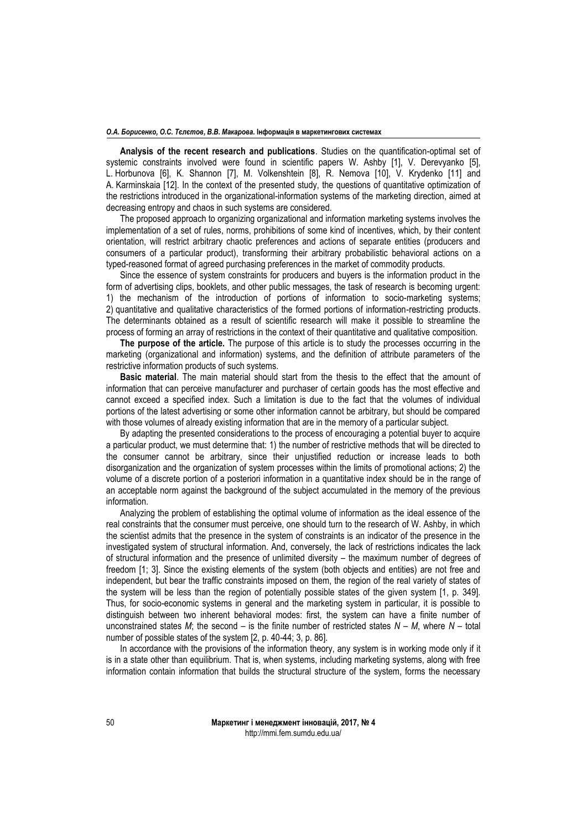#### *О.А. Борисенко, О.С. Тєлєтов, В.В. Макарова.* **Інформація в маркетингових системах**

**Analysis of the recent research and publications**. Studies on the quantification-optimal set of systemic constraints involved were found in scientific papers W. Ashby [1], V. Derevyanko [5], L. Horbunova [6], K. Shannon [7], M. Volkenshtein [8], R. Nemova [10], V. Krydenko [11] and A. Karminskaia [12]. In the context of the presented study, the questions of quantitative optimization of the restrictions introduced in the organizational-information systems of the marketing direction, aimed at decreasing entropy and chaos in such systems are considered.

The proposed approach to organizing organizational and information marketing systems involves the implementation of a set of rules, norms, prohibitions of some kind of incentives, which, by their content orientation, will restrict arbitrary chaotic preferences and actions of separate entities (producers and consumers of a particular product), transforming their arbitrary probabilistic behavioral actions on a typed-reasoned format of agreed purchasing preferences in the market of commodity products.

Since the essence of system constraints for producers and buyers is the information product in the form of advertising clips, booklets, and other public messages, the task of research is becoming urgent: 1) the mechanism of the introduction of portions of information to socio-marketing systems; 2) quantitative and qualitative characteristics of the formed portions of information-restricting products. The determinants obtained as a result of scientific research will make it possible to streamline the process of forming an array of restrictions in the context of their quantitative and qualitative composition.

**The purpose of the article.** The purpose of this article is to study the processes occurring in the marketing (organizational and information) systems, and the definition of attribute parameters of the restrictive information products of such systems.

**Basic material**. The main material should start from the thesis to the effect that the amount of information that can perceive manufacturer and purchaser of certain goods has the most effective and cannot exceed a specified index. Such a limitation is due to the fact that the volumes of individual portions of the latest advertising or some other information cannot be arbitrary, but should be compared with those volumes of already existing information that are in the memory of a particular subject.

By adapting the presented considerations to the process of encouraging a potential buyer to acquire a particular product, we must determine that: 1) the number of restrictive methods that will be directed to the consumer cannot be arbitrary, since their unjustified reduction or increase leads to both disorganization and the organization of system processes within the limits of promotional actions; 2) the volume of a discrete portion of a posteriori information in a quantitative index should be in the range of an acceptable norm against the background of the subject accumulated in the memory of the previous information.

Analyzing the problem of establishing the optimal volume of information as the ideal essence of the real constraints that the consumer must perceive, one should turn to the research of W. Ashby, in which the scientist admits that the presence in the system of constraints is an indicator of the presence in the investigated system of structural information. And, conversely, the lack of restrictions indicates the lack of structural information and the presence of unlimited diversity – the maximum number of degrees of freedom [1; 3]. Since the existing elements of the system (both objects and entities) are not free and independent, but bear the traffic constraints imposed on them, the region of the real variety of states of the system will be less than the region of potentially possible states of the given system [1, p. 349]. Thus, for socio-economic systems in general and the marketing system in particular, it is possible to distinguish between two inherent behavioral modes: first, the system can have a finite number of unconstrained states  $M$ ; the second – is the finite number of restricted states  $N - M$ , where  $N - \text{total}$ number of possible states of the system [2, p. 40-44; 3, p. 86].

In accordance with the provisions of the information theory, any system is in working mode only if it is in a state other than equilibrium. That is, when systems, including marketing systems, along with free information contain information that builds the structural structure of the system, forms the necessary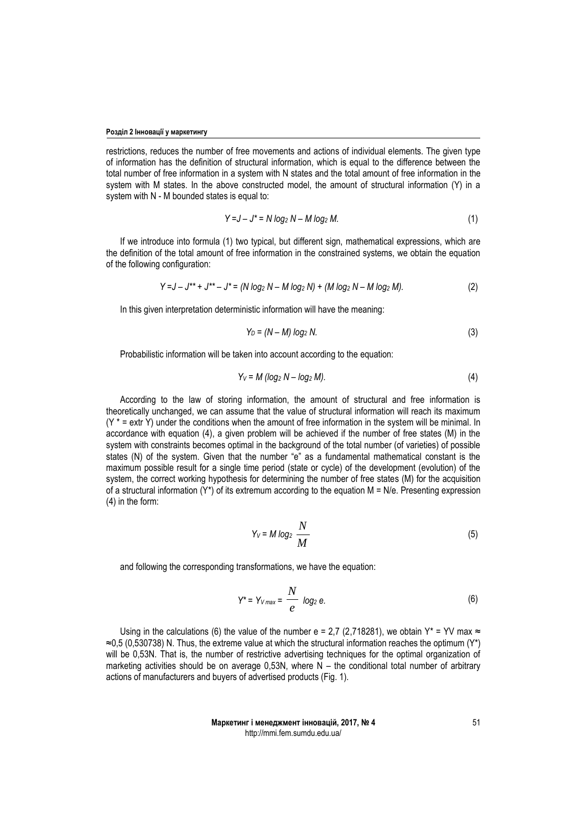restrictions, reduces the number of free movements and actions of individual elements. The given type of information has the definition of structural information, which is equal to the difference between the total number of free information in a system with N states and the total amount of free information in the system with M states. In the above constructed model, the amount of structural information (Y) in a system with N - M bounded states is equal to:

$$
Y = J - J^* = N \log_2 N - M \log_2 M.
$$
 (1)

If we introduce into formula (1) two typical, but different sign, mathematical expressions, which are the definition of the total amount of free information in the constrained systems, we obtain the equation of the following configuration:

$$
Y = J - J^{**} + J^{**} - J^* = (N \log_2 N - M \log_2 N) + (M \log_2 N - M \log_2 M).
$$
 (2)

In this given interpretation deterministic information will have the meaning:

$$
Y_D = (N - M) \log_2 N. \tag{3}
$$

Probabilistic information will be taken into account according to the equation:

$$
Y_V = M \left( \log_2 N - \log_2 M \right). \tag{4}
$$

According to the law of storing information, the amount of structural and free information is theoretically unchanged, we can assume that the value of structural information will reach its maximum  $(Y^* = \text{extr } Y)$  under the conditions when the amount of free information in the system will be minimal. In accordance with equation (4), a given problem will be achieved if the number of free states (M) in the system with constraints becomes optimal in the background of the total number (of varieties) of possible states (N) of the system. Given that the number "e" as a fundamental mathematical constant is the maximum possible result for a single time period (state or cycle) of the development (evolution) of the system, the correct working hypothesis for determining the number of free states (M) for the acquisition of a structural information  $(Y^*)$  of its extremum according to the equation M = N/e. Presenting expression (4) in the form:

$$
Y_V = M \log_2 \frac{N}{M}
$$
 (5)

and following the corresponding transformations, we have the equation:

$$
Y^* = Y_{V \text{max}} = \frac{N}{e} \text{ log}_2 e. \tag{6}
$$

Using in the calculations (6) the value of the number e = 2,7 (2,718281), we obtain Y\* = YV max  $\approx$  $\approx$ 0,5 (0,530738) N. Thus, the extreme value at which the structural information reaches the optimum (Y\*) will be 0,53N. That is, the number of restrictive advertising techniques for the optimal organization of marketing activities should be on average 0,53N, where  $\overline{N}$  – the conditional total number of arbitrary actions of manufacturers and buyers of advertised products (Fig. 1).

> **Маркетинг і менеджмент інновацій, 2017, № 4** http://mmi.fem.sumdu.edu.ua/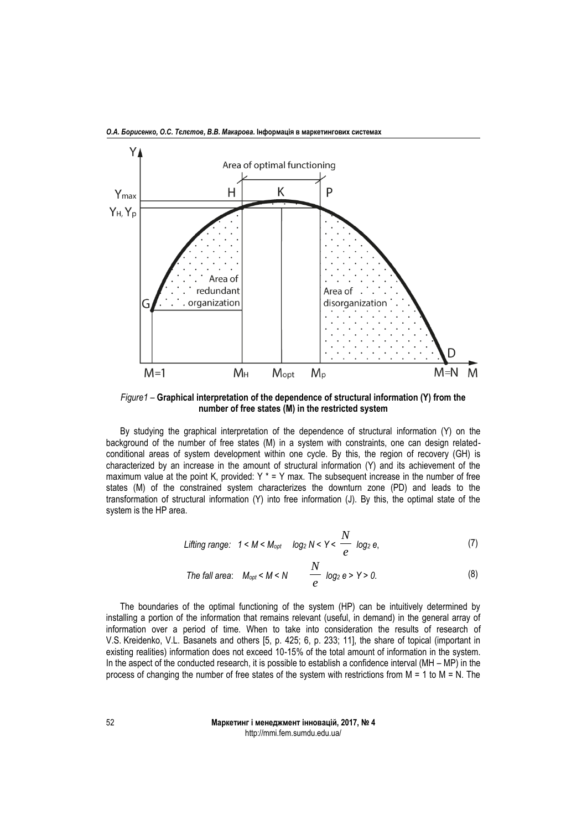

*О.А. Борисенко, О.С. Тєлєтов, В.В. Макарова.* **Інформація в маркетингових системах**

*Figure1* – **Graphical interpretation of the dependence of structural information (Y) from the number of free states (M) in the restricted system**

By studying the graphical interpretation of the dependence of structural information (Y) on the background of the number of free states (M) in a system with constraints, one can design relatedconditional areas of system development within one cycle. By this, the region of recovery (GH) is characterized by an increase in the amount of structural information (Y) and its achievement of the maximum value at the point K, provided:  $Y^* = Y$  max. The subsequent increase in the number of free states (M) of the constrained system characterizes the downturn zone (PD) and leads to the transformation of structural information (Y) into free information (J). By this, the optimal state of the system is the HP area.

$$
Lifting range: 1 < M < M_{opt} \quad log_2 N < Y < \frac{N}{e} \quad log_2 e,\tag{7}
$$

The fall area: 
$$
M_{opt} < M < N
$$
  $\frac{N}{e}$   $log_2 e > Y > 0.$  (8)

The boundaries of the optimal functioning of the system (HP) can be intuitively determined by installing a portion of the information that remains relevant (useful, in demand) in the general array of information over a period of time. When to take into consideration the results of research of V.S. Kreidenko, V.L. Basanets and others [5, p. 425; 6, p. 233; 11], the share of topical (important in existing realities) information does not exceed 10-15% of the total amount of information in the system. In the aspect of the conducted research, it is possible to establish a confidence interval (MH – MP) in the process of changing the number of free states of the system with restrictions from  $M = 1$  to  $M = N$ . The

> **Маркетинг і менеджмент інновацій, 2017, № 4** http://mmi.fem.sumdu.edu.ua/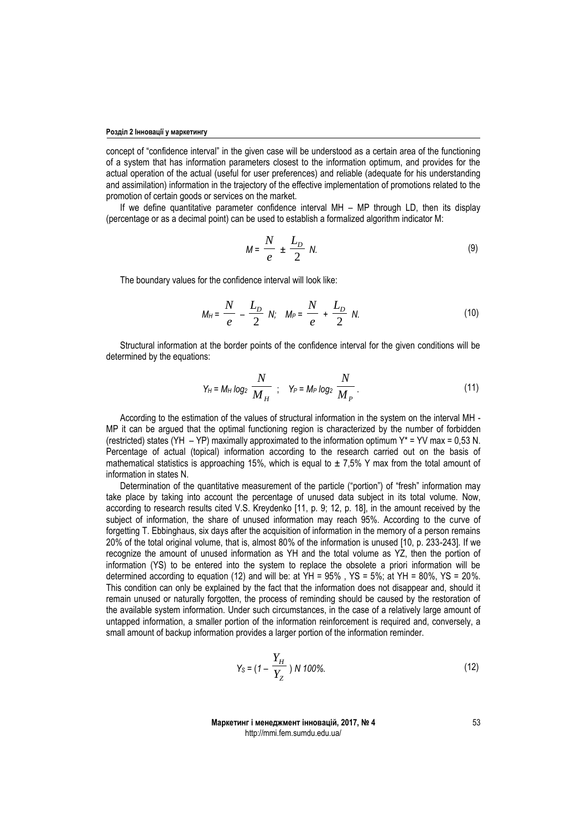concept of "confidence interval" in the given case will be understood as a certain area of the functioning of a system that has information parameters closest to the information optimum, and provides for the actual operation of the actual (useful for user preferences) and reliable (adequate for his understanding and assimilation) information in the trajectory of the effective implementation of promotions related to the promotion of certain goods or services on the market.

If we define quantitative parameter confidence interval MH – MP through LD, then its display (percentage or as a decimal point) can be used to establish a formalized algorithm indicator M:

$$
M = \frac{N}{e} \pm \frac{L_D}{2} N. \tag{9}
$$

The boundary values for the confidence interval will look like:

$$
M_H = \frac{N}{e} - \frac{L_D}{2} N; \quad M_P = \frac{N}{e} + \frac{L_D}{2} N.
$$
 (10)

Structural information at the border points of the confidence interval for the given conditions will be determined by the equations:

$$
Y_H = M_H \log_2 \frac{N}{M_H} \quad ; \quad Y_P = M_P \log_2 \frac{N}{M_P} \,. \tag{11}
$$

According to the estimation of the values of structural information in the system on the interval MH - MP it can be argued that the optimal functioning region is characterized by the number of forbidden (restricted) states (YH – YP) maximally approximated to the information optimum  $Y^* = YV$  max = 0,53 N. Percentage of actual (topical) information according to the research carried out on the basis of mathematical statistics is approaching 15%, which is equal to  $\pm$  7,5% Y max from the total amount of information in states N.

Determination of the quantitative measurement of the particle ("portion") of "fresh" information may take place by taking into account the percentage of unused data subject in its total volume. Now, according to research results cited V.S. Kreydenko [11, p. 9; 12, p. 18], in the amount received by the subject of information, the share of unused information may reach 95%. According to the curve of forgetting T. Ebbinghaus, six days after the acquisition of information in the memory of a person remains 20% of the total original volume, that is, almost 80% of the information is unused [10, p. 233-243]. If we recognize the amount of unused information as YH and the total volume as YZ, then the portion of information (YS) to be entered into the system to replace the obsolete a priori information will be determined according to equation (12) and will be: at  $YH = 95%$ ,  $YS = 5%$ ; at  $YH = 80%$ ,  $YS = 20%$ . This condition can only be explained by the fact that the information does not disappear and, should it remain unused or naturally forgotten, the process of reminding should be caused by the restoration of the available system information. Under such circumstances, in the case of a relatively large amount of untapped information, a smaller portion of the information reinforcement is required and, conversely, a small amount of backup information provides a larger portion of the information reminder.

$$
Y_{\rm S} = (1 - \frac{Y_H}{Y_Z}) N \, 100\% \tag{12}
$$

**Маркетинг і менеджмент інновацій, 2017, № 4** http://mmi.fem.sumdu.edu.ua/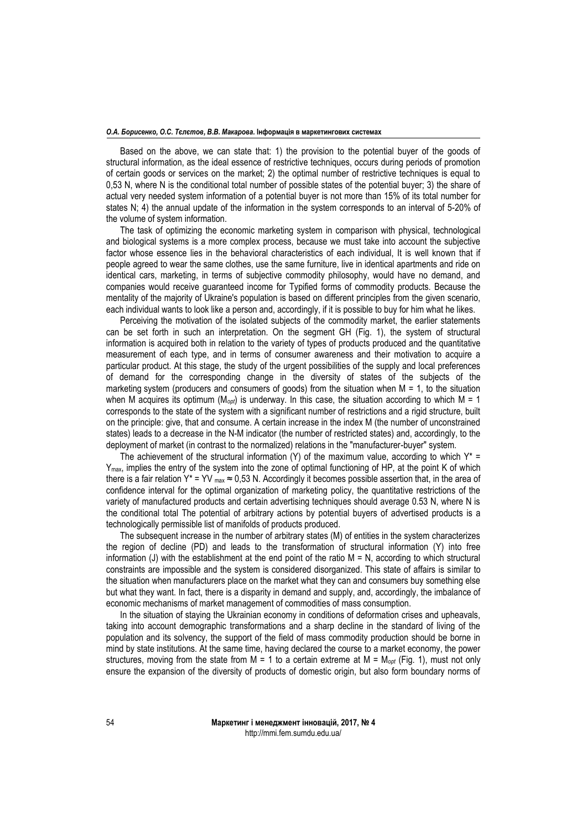#### *О.А. Борисенко, О.С. Тєлєтов, В.В. Макарова.* **Інформація в маркетингових системах**

Based on the above, we can state that: 1) the provision to the potential buyer of the goods of structural information, as the ideal essence of restrictive techniques, occurs during periods of promotion of certain goods or services on the market; 2) the optimal number of restrictive techniques is equal to 0,53 N, where N is the conditional total number of possible states of the potential buyer; 3) the share of actual very needed system information of a potential buyer is not more than 15% of its total number for states N; 4) the annual update of the information in the system corresponds to an interval of 5-20% of the volume of system information.

The task of optimizing the economic marketing system in comparison with physical, technological and biological systems is a more complex process, because we must take into account the subjective factor whose essence lies in the behavioral characteristics of each individual, It is well known that if people agreed to wear the same clothes, use the same furniture, live in identical apartments and ride on identical cars, marketing, in terms of subjective commodity philosophy, would have no demand, and companies would receive guaranteed income for Typified forms of commodity products. Because the mentality of the majority of Ukraine's population is based on different principles from the given scenario, each individual wants to look like a person and, accordingly, if it is possible to buy for him what he likes.

Perceiving the motivation of the isolated subjects of the commodity market, the earlier statements can be set forth in such an interpretation. On the segment GH (Fig. 1), the system of structural information is acquired both in relation to the variety of types of products produced and the quantitative measurement of each type, and in terms of consumer awareness and their motivation to acquire a particular product. At this stage, the study of the urgent possibilities of the supply and local preferences of demand for the corresponding change in the diversity of states of the subjects of the marketing system (producers and consumers of goods) from the situation when  $M = 1$ , to the situation when M acquires its optimum (M*opt*) is underway. In this case, the situation according to which M = 1 corresponds to the state of the system with a significant number of restrictions and a rigid structure, built on the principle: give, that and consume. A certain increase in the index M (the number of unconstrained states) leads to a decrease in the N-M indicator (the number of restricted states) and, accordingly, to the deployment of market (in contrast to the normalized) relations in the "manufacturer-buyer" system.

The achievement of the structural information (Y) of the maximum value, according to which  $Y^*$  = Ymax, implies the entry of the system into the zone of optimal functioning of HP, at the point K of which there is a fair relation Y\* = YV  $_{max} \approx 0.53$  N. Accordingly it becomes possible assertion that, in the area of confidence interval for the optimal organization of marketing policy, the quantitative restrictions of the variety of manufactured products and certain advertising techniques should average 0.53 N, where N is the conditional total The potential of arbitrary actions by potential buyers of advertised products is a technologically permissible list of manifolds of products produced.

The subsequent increase in the number of arbitrary states (M) of entities in the system characterizes the region of decline (PD) and leads to the transformation of structural information (Y) into free information (J) with the establishment at the end point of the ratio  $M = N$ , according to which structural constraints are impossible and the system is considered disorganized. This state of affairs is similar to the situation when manufacturers place on the market what they can and consumers buy something else but what they want. In fact, there is a disparity in demand and supply, and, accordingly, the imbalance of economic mechanisms of market management of commodities of mass consumption.

In the situation of staying the Ukrainian economy in conditions of deformation crises and upheavals, taking into account demographic transformations and a sharp decline in the standard of living of the population and its solvency, the support of the field of mass commodity production should be borne in mind by state institutions. At the same time, having declared the course to a market economy, the power structures, moving from the state from M = 1 to a certain extreme at M = M*opt* (Fig. 1), must not only ensure the expansion of the diversity of products of domestic origin, but also form boundary norms of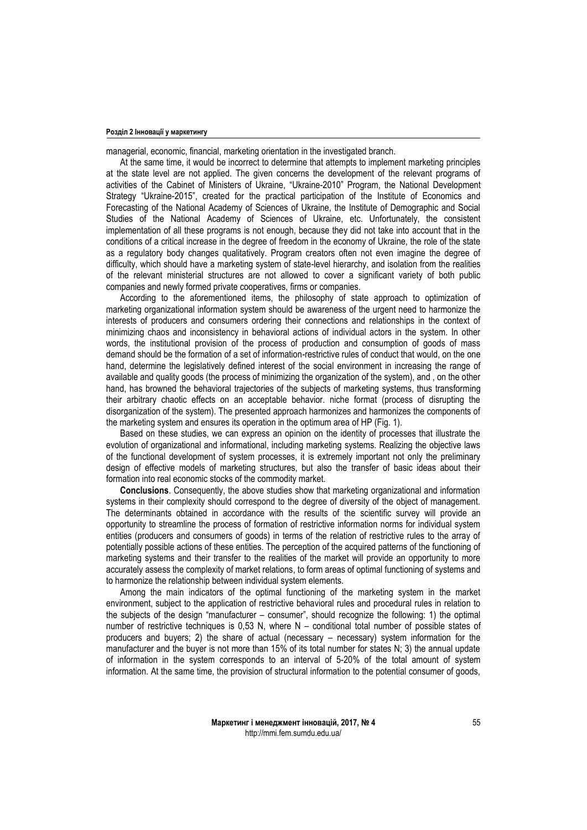#### **Розділ 2 Інновації у маркетингу**

managerial, economic, financial, marketing orientation in the investigated branch.

At the same time, it would be incorrect to determine that attempts to implement marketing principles at the state level are not applied. The given concerns the development of the relevant programs of activities of the Cabinet of Ministers of Ukraine, "Ukraine-2010" Program, the National Development Strategy "Ukraine-2015", created for the practical participation of the Institute of Economics and Forecasting of the National Academy of Sciences of Ukraine, the Institute of Demographic and Social Studies of the National Academy of Sciences of Ukraine, etc. Unfortunately, the consistent implementation of all these programs is not enough, because they did not take into account that in the conditions of a critical increase in the degree of freedom in the economy of Ukraine, the role of the state as a regulatory body changes qualitatively. Program creators often not even imagine the degree of difficulty, which should have a marketing system of state-level hierarchy, and isolation from the realities of the relevant ministerial structures are not allowed to cover a significant variety of both public companies and newly formed private cooperatives, firms or companies.

According to the aforementioned items, the philosophy of state approach to optimization of marketing organizational information system should be awareness of the urgent need to harmonize the interests of producers and consumers ordering their connections and relationships in the context of minimizing chaos and inconsistency in behavioral actions of individual actors in the system. In other words, the institutional provision of the process of production and consumption of goods of mass demand should be the formation of a set of information-restrictive rules of conduct that would, on the one hand, determine the legislatively defined interest of the social environment in increasing the range of available and quality goods (the process of minimizing the organization of the system), and , on the other hand, has browned the behavioral trajectories of the subjects of marketing systems, thus transforming their arbitrary chaotic effects on an acceptable behavior. niche format (process of disrupting the disorganization of the system). The presented approach harmonizes and harmonizes the components of the marketing system and ensures its operation in the optimum area of HP (Fig. 1).

Based on these studies, we can express an opinion on the identity of processes that illustrate the evolution of organizational and informational, including marketing systems. Realizing the objective laws of the functional development of system processes, it is extremely important not only the preliminary design of effective models of marketing structures, but also the transfer of basic ideas about their formation into real economic stocks of the commodity market.

**Conclusions**. Consequently, the above studies show that marketing organizational and information systems in their complexity should correspond to the degree of diversity of the object of management. The determinants obtained in accordance with the results of the scientific survey will provide an opportunity to streamline the process of formation of restrictive information norms for individual system entities (producers and consumers of goods) in terms of the relation of restrictive rules to the array of potentially possible actions of these entities. The perception of the acquired patterns of the functioning of marketing systems and their transfer to the realities of the market will provide an opportunity to more accurately assess the complexity of market relations, to form areas of optimal functioning of systems and to harmonize the relationship between individual system elements.

Among the main indicators of the optimal functioning of the marketing system in the market environment, subject to the application of restrictive behavioral rules and procedural rules in relation to the subjects of the design "manufacturer – consumer", should recognize the following: 1) the optimal number of restrictive techniques is 0,53 N, where N – conditional total number of possible states of producers and buyers; 2) the share of actual (necessary – necessary) system information for the manufacturer and the buyer is not more than 15% of its total number for states N; 3) the annual update of information in the system corresponds to an interval of 5-20% of the total amount of system information. At the same time, the provision of structural information to the potential consumer of goods,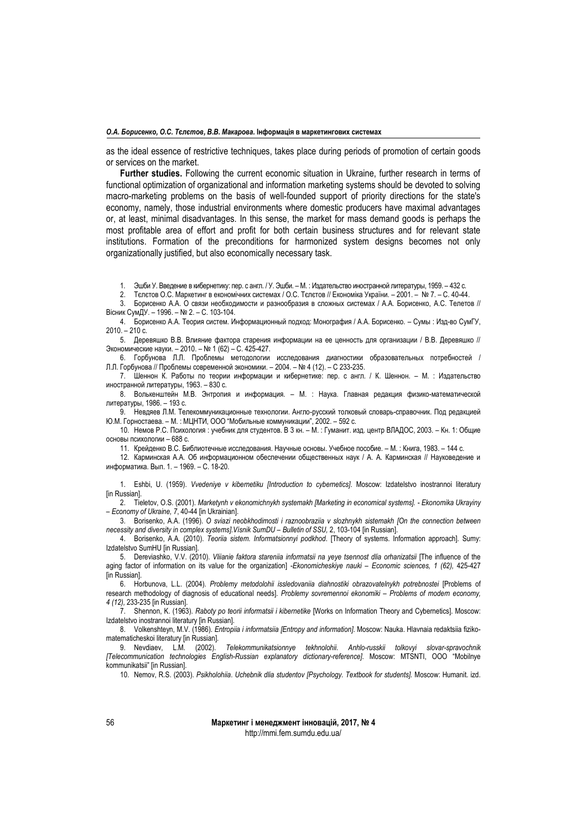#### *О.А. Борисенко, О.С. Тєлєтов, В.В. Макарова.* **Інформація в маркетингових системах**

as the ideal essence of restrictive techniques, takes place during periods of promotion of certain goods or services on the market.

**Further studies.** Following the current economic situation in Ukraine, further research in terms of functional optimization of organizational and information marketing systems should be devoted to solving macro-marketing problems on the basis of well-founded support of priority directions for the state's economy, namely, those industrial environments where domestic producers have maximal advantages or, at least, minimal disadvantages. In this sense, the market for mass demand goods is perhaps the most profitable area of effort and profit for both certain business structures and for relevant state institutions. Formation of the preconditions for harmonized system designs becomes not only organizationally justified, but also economically necessary task.

1. Эшби У. Введение в кибернетику: пер. с англ. / У. Эшби. – М. : Издательство иностранной литературы, 1959. – 432 с.

2. Тєлєтов О.С. Маркетинг в економічних системах / О.С. Тєлєтов // Економіка України. – 2001. – № 7. – С. 40-44.

3. Борисенко А.А. О связи необходимости и разнообразия в сложных системах / А.А. Борисенко, А.С. Телетов // Вісник СумДУ. – 1996. – № 2. – С. 103-104.

4. Борисенко А.А. Теория систем. Информационный подход: Монография / А.А. Борисенко. – Сумы : Изд-во СумГУ, 2010. – 210 с.

5. Деревяшко В.В. Влияние фактора старения информации на ее ценность для организации / В.В. Деревяшко // Экономические науки. – 2010. – № 1 (62) – С. 425-427.

6. Горбунова Л.Л. Проблемы методологии исследования диагностики образовательных потребностей / Л.Л. Горбунова // Проблемы современной экономики. – 2004. – № 4 (12). – С 233-235.

7. Шеннон К. Работы по теории информации и кибернетике: пер. с англ. / К. Шеннон. – М. : Издательство иностранной литературы, 1963. – 830 с.

8. Волькенштейн М.В. Энтропия и информация. – М. : Наука. Главная редакция физико-математической литературы, 1986. – 193 с.

9. Невдяев Л.М. Телекоммуникационные технологии. Англо-русский толковый словарь-справочник. Под редакцией Ю.М. Горностаева. – М. : МЦНТИ, ООО "Мобильные коммуникации", 2002. – 592 с.

10. Немов Р.С. Психология : учебник для студентов. В 3 кн. – М. : Гуманит. изд. центр ВЛАДОС, 2003. – Кн. 1: Общие основы психологии – 688 с.

11. Крейденко В.С. Библиотечные исследования. Научные основы. Учебное пособие. – М. : Книга, 1983. – 144 с.

12. Карминская А.А. Об информационном обеспечении общественных наук / А. А. Карминская // Науковедение и информатика. Вып. 1. – 1969. – С. 18-20.

1. Eshbi, U. (1959). *Vvedeniye v kibernetiku [Introduction to cybernetics]*. Moscow: Izdatelstvo inostrannoi literatury [in Russian].

2. Tieletov, O.S. (2001). *Marketynh v ekonomichnykh systemakh [Marketing in economical systems]. - Ekonomika Ukrayiny – Economy of Ukraine, 7*, 40-44 [in Ukrainian].

3. Borisenko, A.A. (1996). *O sviazi neobkhodimosti i raznoobraziia v slozhnykh sistemakh [On the connection between necessity and diversity in complex systems].Vísnik SumDU – Bulletin of SSU,* 2, 103-104 [in Russian].

4. Borisenko, A.A. (2010). *Teoriia sistem. Informatsionnyi podkhod*. [Theory of systems. Information approach]. Sumy: Izdatelstvo SumHU [in Russian].

5. Dereviashko, V.V. (2010). *Vliianie faktora stareniia informatsii na yeye tsennost dlia orhanizatsii* [The influence of the aging factor of information on its value for the organization] -*Ekonomicheskiye nauki – Economic sciences, 1 (62),* 425-427 **[in Russian].** 

6. Horbunova, L.L. (2004). *Problemy metodolohii issledovaniia diahnostiki obrazovatelnykh potrebnostei* [Problems of research methodology of diagnosis of educational needs]. *Problemy sovremennoi ekonomiki* – *Problems of modern economy, 4 (12),* 233-235 [in Russian].

7. Shennon, K. (1963). *Raboty po teorii informatsii i kibernetike* [Works on Information Theory and Cybernetics]. Moscow: Izdatelstvo inostrannoi literatury [in Russian].

8. Volkenshteyn, M.V. (1986). *Entropiia i informatsiia [Entropy and information]*. Moscow: Nauka. Hlavnaia redaktsiia fizikomatematicheskoi literatury [in Russian].

9. Nevdiaev, L.M. (2002). *Telekommunikatsionnye tekhnolohii. Anhlo-russkii tolkovyi slovar-spravochnik [Telecommunication technologies English-Russian explanatory dictionary-reference]*. Moscow: MTSNTI, OOO "Mobilnye kommunikatsii" [in Russian].

10. Nemov, R.S. (2003). *Psikholohiia*. *Uchebnik dlia studentov [Psychology. Textbook for students].* Moscow: Humanit. izd.